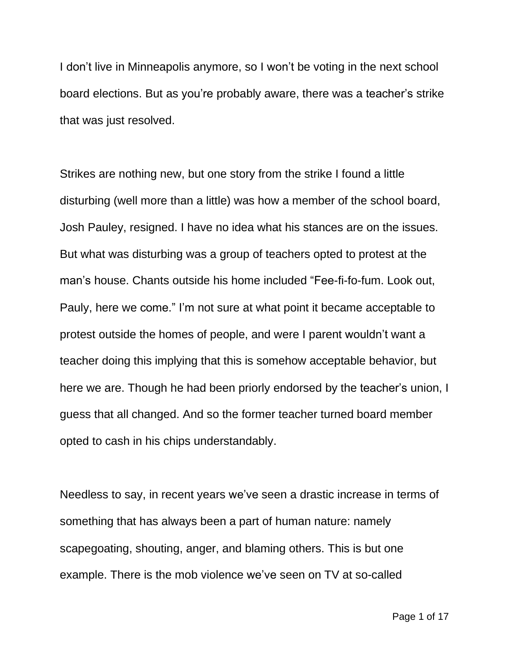I don't live in Minneapolis anymore, so I won't be voting in the next school board elections. But as you're probably aware, there was a teacher's strike that was just resolved.

Strikes are nothing new, but one story from the strike I found a little disturbing (well more than a little) was how a member of the school board, Josh Pauley, resigned. I have no idea what his stances are on the issues. But what was disturbing was a group of teachers opted to protest at the man's house. Chants outside his home included "Fee-fi-fo-fum. Look out, Pauly, here we come." I'm not sure at what point it became acceptable to protest outside the homes of people, and were I parent wouldn't want a teacher doing this implying that this is somehow acceptable behavior, but here we are. Though he had been priorly endorsed by the teacher's union, I guess that all changed. And so the former teacher turned board member opted to cash in his chips understandably.

Needless to say, in recent years we've seen a drastic increase in terms of something that has always been a part of human nature: namely scapegoating, shouting, anger, and blaming others. This is but one example. There is the mob violence we've seen on TV at so-called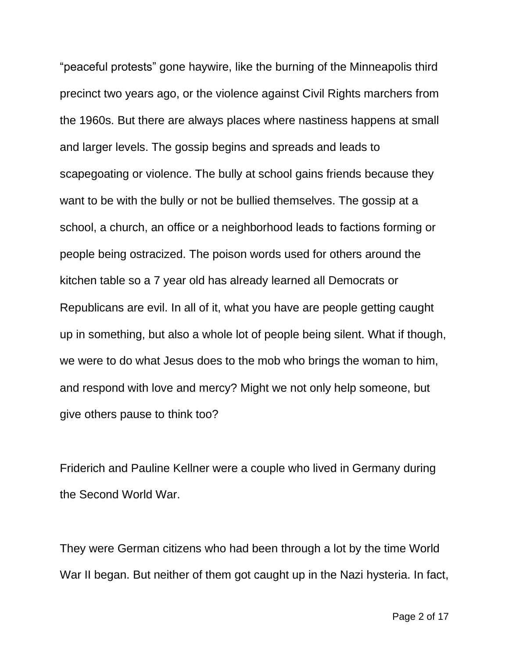"peaceful protests" gone haywire, like the burning of the Minneapolis third precinct two years ago, or the violence against Civil Rights marchers from the 1960s. But there are always places where nastiness happens at small and larger levels. The gossip begins and spreads and leads to scapegoating or violence. The bully at school gains friends because they want to be with the bully or not be bullied themselves. The gossip at a school, a church, an office or a neighborhood leads to factions forming or people being ostracized. The poison words used for others around the kitchen table so a 7 year old has already learned all Democrats or Republicans are evil. In all of it, what you have are people getting caught up in something, but also a whole lot of people being silent. What if though, we were to do what Jesus does to the mob who brings the woman to him, and respond with love and mercy? Might we not only help someone, but give others pause to think too?

Friderich and Pauline Kellner were a couple who lived in Germany during the Second World War.

They were German citizens who had been through a lot by the time World War II began. But neither of them got caught up in the Nazi hysteria. In fact,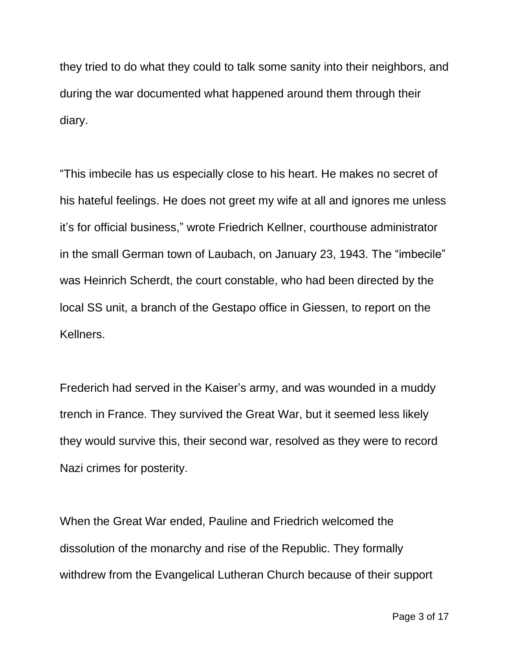they tried to do what they could to talk some sanity into their neighbors, and during the war documented what happened around them through their diary.

"This imbecile has us especially close to his heart. He makes no secret of his hateful feelings. He does not greet my wife at all and ignores me unless it's for official business," wrote Friedrich Kellner, courthouse administrator in the small German town of Laubach, on January 23, 1943. The "imbecile" was Heinrich Scherdt, the court constable, who had been directed by the local SS unit, a branch of the Gestapo office in Giessen, to report on the Kellners.

Frederich had served in the Kaiser's army, and was wounded in a muddy trench in France. They survived the Great War, but it seemed less likely they would survive this, their second war, resolved as they were to record Nazi crimes for posterity.

When the Great War ended, Pauline and Friedrich welcomed the dissolution of the monarchy and rise of the Republic. They formally withdrew from the Evangelical Lutheran Church because of their support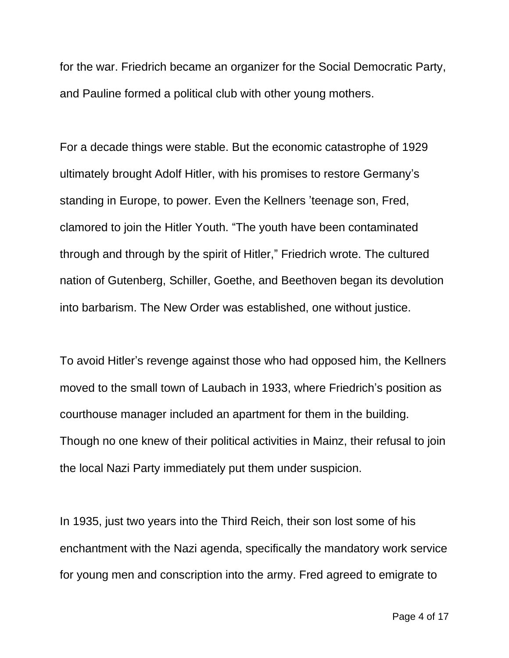for the war. Friedrich became an organizer for the Social Democratic Party, and Pauline formed a political club with other young mothers.

For a decade things were stable. But the economic catastrophe of 1929 ultimately brought Adolf Hitler, with his promises to restore Germany's standing in Europe, to power. Even the Kellners 'teenage son, Fred, clamored to join the Hitler Youth. "The youth have been contaminated through and through by the spirit of Hitler," Friedrich wrote. The cultured nation of Gutenberg, Schiller, Goethe, and Beethoven began its devolution into barbarism. The New Order was established, one without justice.

To avoid Hitler's revenge against those who had opposed him, the Kellners moved to the small town of Laubach in 1933, where Friedrich's position as courthouse manager included an apartment for them in the building. Though no one knew of their political activities in Mainz, their refusal to join the local Nazi Party immediately put them under suspicion.

In 1935, just two years into the Third Reich, their son lost some of his enchantment with the Nazi agenda, specifically the mandatory work service for young men and conscription into the army. Fred agreed to emigrate to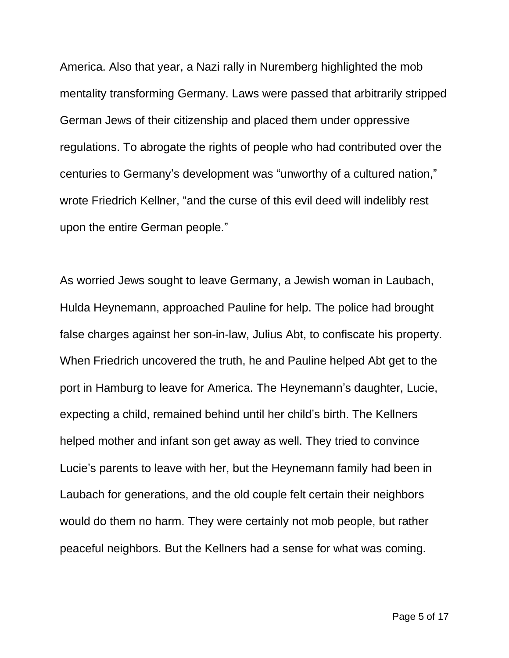America. Also that year, a Nazi rally in Nuremberg highlighted the mob mentality transforming Germany. Laws were passed that arbitrarily stripped German Jews of their citizenship and placed them under oppressive regulations. To abrogate the rights of people who had contributed over the centuries to Germany's development was "unworthy of a cultured nation," wrote Friedrich Kellner, "and the curse of this evil deed will indelibly rest upon the entire German people."

As worried Jews sought to leave Germany, a Jewish woman in Laubach, Hulda Heynemann, approached Pauline for help. The police had brought false charges against her son-in-law, Julius Abt, to confiscate his property. When Friedrich uncovered the truth, he and Pauline helped Abt get to the port in Hamburg to leave for America. The Heynemann's daughter, Lucie, expecting a child, remained behind until her child's birth. The Kellners helped mother and infant son get away as well. They tried to convince Lucie's parents to leave with her, but the Heynemann family had been in Laubach for generations, and the old couple felt certain their neighbors would do them no harm. They were certainly not mob people, but rather peaceful neighbors. But the Kellners had a sense for what was coming.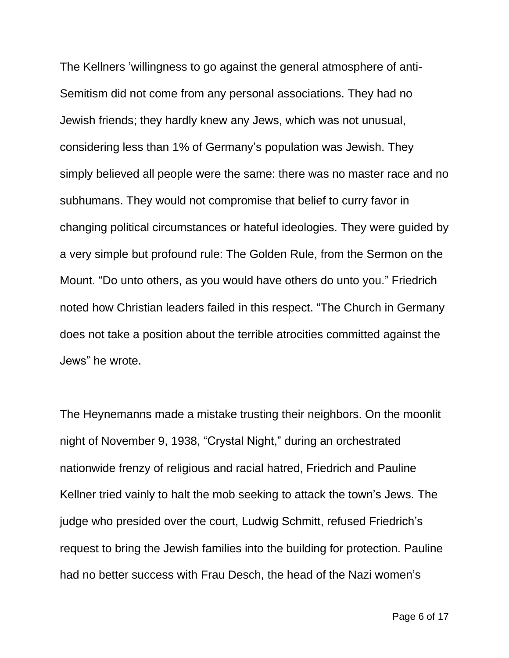The Kellners 'willingness to go against the general atmosphere of anti-Semitism did not come from any personal associations. They had no Jewish friends; they hardly knew any Jews, which was not unusual, considering less than 1% of Germany's population was Jewish. They simply believed all people were the same: there was no master race and no subhumans. They would not compromise that belief to curry favor in changing political circumstances or hateful ideologies. They were guided by a very simple but profound rule: The Golden Rule, from the Sermon on the Mount. "Do unto others, as you would have others do unto you." Friedrich noted how Christian leaders failed in this respect. "The Church in Germany does not take a position about the terrible atrocities committed against the Jews" he wrote.

The Heynemanns made a mistake trusting their neighbors. On the moonlit night of November 9, 1938, "Crystal Night," during an orchestrated nationwide frenzy of religious and racial hatred, Friedrich and Pauline Kellner tried vainly to halt the mob seeking to attack the town's Jews. The judge who presided over the court, Ludwig Schmitt, refused Friedrich's request to bring the Jewish families into the building for protection. Pauline had no better success with Frau Desch, the head of the Nazi women's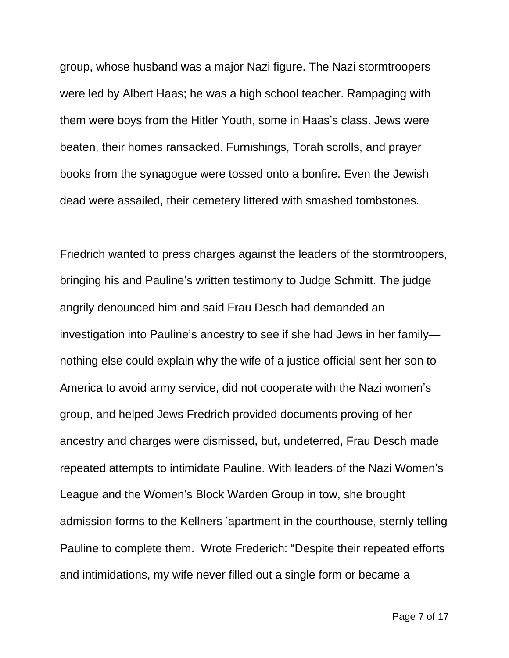group, whose husband was a major Nazi figure. The Nazi stormtroopers were led by Albert Haas; he was a high school teacher. Rampaging with them were boys from the Hitler Youth, some in Haas's class. Jews were beaten, their homes ransacked. Furnishings, Torah scrolls, and prayer books from the synagogue were tossed onto a bonfire. Even the Jewish dead were assailed, their cemetery littered with smashed tombstones.

Friedrich wanted to press charges against the leaders of the stormtroopers, bringing his and Pauline's written testimony to Judge Schmitt. The judge angrily denounced him and said Frau Desch had demanded an investigation into Pauline's ancestry to see if she had Jews in her family nothing else could explain why the wife of a justice official sent her son to America to avoid army service, did not cooperate with the Nazi women's group, and helped Jews Fredrich provided documents proving of her ancestry and charges were dismissed, but, undeterred, Frau Desch made repeated attempts to intimidate Pauline. With leaders of the Nazi Women's League and the Women's Block Warden Group in tow, she brought admission forms to the Kellners 'apartment in the courthouse, sternly telling Pauline to complete them. Wrote Frederich: "Despite their repeated efforts and intimidations, my wife never filled out a single form or became a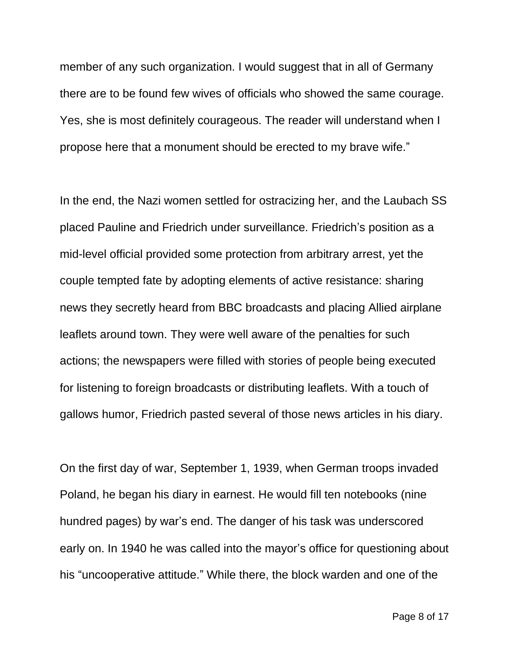member of any such organization. I would suggest that in all of Germany there are to be found few wives of officials who showed the same courage. Yes, she is most definitely courageous. The reader will understand when I propose here that a monument should be erected to my brave wife."

In the end, the Nazi women settled for ostracizing her, and the Laubach SS placed Pauline and Friedrich under surveillance. Friedrich's position as a mid-level official provided some protection from arbitrary arrest, yet the couple tempted fate by adopting elements of active resistance: sharing news they secretly heard from BBC broadcasts and placing Allied airplane leaflets around town. They were well aware of the penalties for such actions; the newspapers were filled with stories of people being executed for listening to foreign broadcasts or distributing leaflets. With a touch of gallows humor, Friedrich pasted several of those news articles in his diary.

On the first day of war, September 1, 1939, when German troops invaded Poland, he began his diary in earnest. He would fill ten notebooks (nine hundred pages) by war's end. The danger of his task was underscored early on. In 1940 he was called into the mayor's office for questioning about his "uncooperative attitude." While there, the block warden and one of the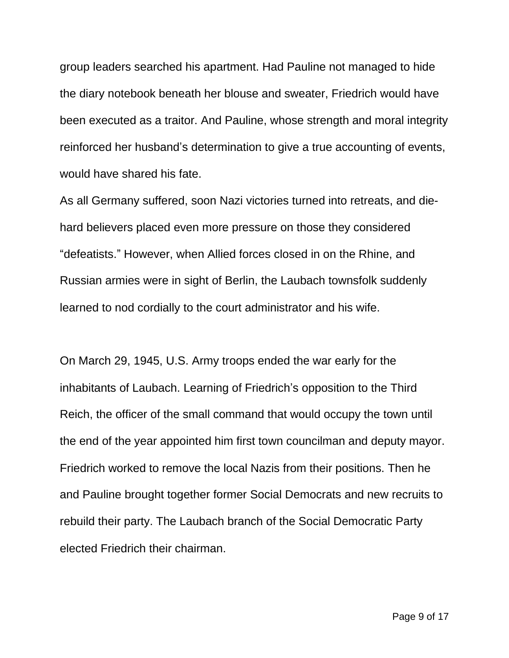group leaders searched his apartment. Had Pauline not managed to hide the diary notebook beneath her blouse and sweater, Friedrich would have been executed as a traitor. And Pauline, whose strength and moral integrity reinforced her husband's determination to give a true accounting of events, would have shared his fate.

As all Germany suffered, soon Nazi victories turned into retreats, and diehard believers placed even more pressure on those they considered "defeatists." However, when Allied forces closed in on the Rhine, and Russian armies were in sight of Berlin, the Laubach townsfolk suddenly learned to nod cordially to the court administrator and his wife.

On March 29, 1945, U.S. Army troops ended the war early for the inhabitants of Laubach. Learning of Friedrich's opposition to the Third Reich, the officer of the small command that would occupy the town until the end of the year appointed him first town councilman and deputy mayor. Friedrich worked to remove the local Nazis from their positions. Then he and Pauline brought together former Social Democrats and new recruits to rebuild their party. The Laubach branch of the Social Democratic Party elected Friedrich their chairman.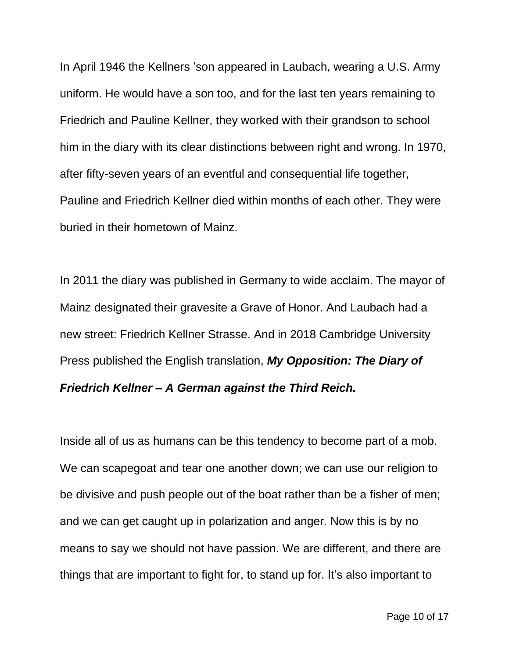In April 1946 the Kellners 'son appeared in Laubach, wearing a U.S. Army uniform. He would have a son too, and for the last ten years remaining to Friedrich and Pauline Kellner, they worked with their grandson to school him in the diary with its clear distinctions between right and wrong. In 1970, after fifty-seven years of an eventful and consequential life together, Pauline and Friedrich Kellner died within months of each other. They were buried in their hometown of Mainz.

In 2011 the diary was published in Germany to wide acclaim. The mayor of Mainz designated their gravesite a Grave of Honor. And Laubach had a new street: Friedrich Kellner Strasse. And in 2018 Cambridge University Press published the English translation, *My Opposition: The Diary of Friedrich Kellner – A German against the Third Reich.*

Inside all of us as humans can be this tendency to become part of a mob. We can scapegoat and tear one another down; we can use our religion to be divisive and push people out of the boat rather than be a fisher of men; and we can get caught up in polarization and anger. Now this is by no means to say we should not have passion. We are different, and there are things that are important to fight for, to stand up for. It's also important to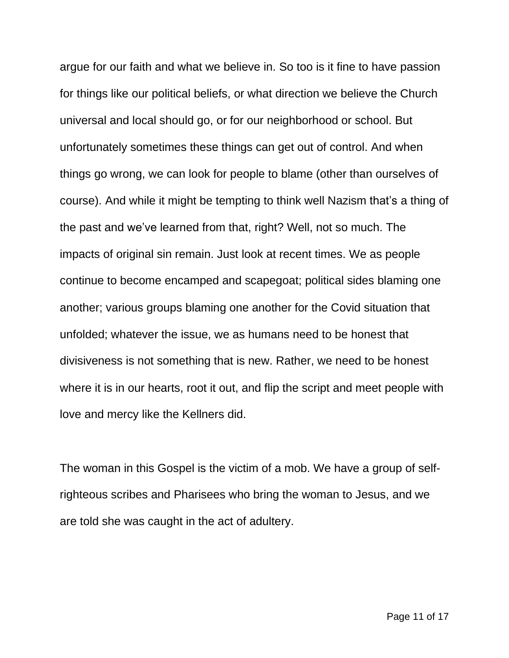argue for our faith and what we believe in. So too is it fine to have passion for things like our political beliefs, or what direction we believe the Church universal and local should go, or for our neighborhood or school. But unfortunately sometimes these things can get out of control. And when things go wrong, we can look for people to blame (other than ourselves of course). And while it might be tempting to think well Nazism that's a thing of the past and we've learned from that, right? Well, not so much. The impacts of original sin remain. Just look at recent times. We as people continue to become encamped and scapegoat; political sides blaming one another; various groups blaming one another for the Covid situation that unfolded; whatever the issue, we as humans need to be honest that divisiveness is not something that is new. Rather, we need to be honest where it is in our hearts, root it out, and flip the script and meet people with love and mercy like the Kellners did.

The woman in this Gospel is the victim of a mob. We have a group of selfrighteous scribes and Pharisees who bring the woman to Jesus, and we are told she was caught in the act of adultery.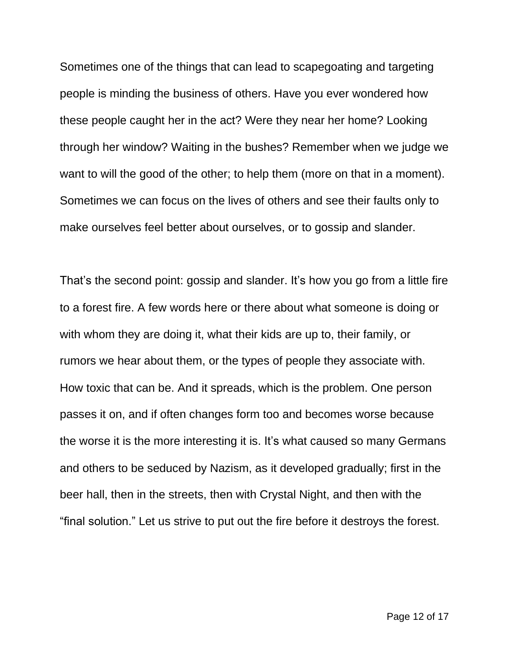Sometimes one of the things that can lead to scapegoating and targeting people is minding the business of others. Have you ever wondered how these people caught her in the act? Were they near her home? Looking through her window? Waiting in the bushes? Remember when we judge we want to will the good of the other; to help them (more on that in a moment). Sometimes we can focus on the lives of others and see their faults only to make ourselves feel better about ourselves, or to gossip and slander.

That's the second point: gossip and slander. It's how you go from a little fire to a forest fire. A few words here or there about what someone is doing or with whom they are doing it, what their kids are up to, their family, or rumors we hear about them, or the types of people they associate with. How toxic that can be. And it spreads, which is the problem. One person passes it on, and if often changes form too and becomes worse because the worse it is the more interesting it is. It's what caused so many Germans and others to be seduced by Nazism, as it developed gradually; first in the beer hall, then in the streets, then with Crystal Night, and then with the "final solution." Let us strive to put out the fire before it destroys the forest.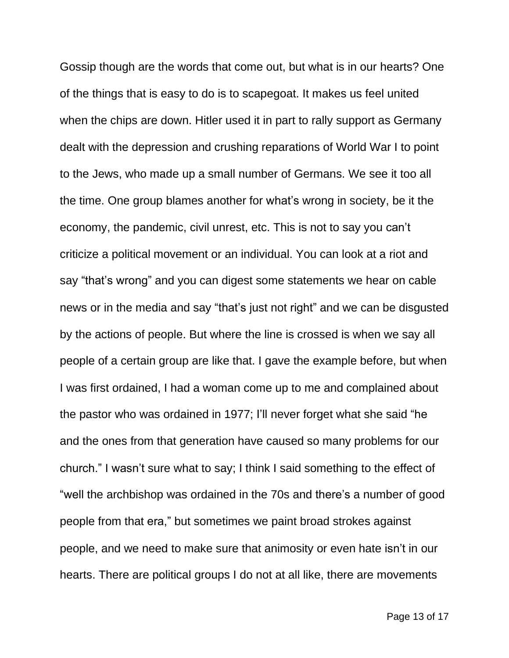Gossip though are the words that come out, but what is in our hearts? One of the things that is easy to do is to scapegoat. It makes us feel united when the chips are down. Hitler used it in part to rally support as Germany dealt with the depression and crushing reparations of World War I to point to the Jews, who made up a small number of Germans. We see it too all the time. One group blames another for what's wrong in society, be it the economy, the pandemic, civil unrest, etc. This is not to say you can't criticize a political movement or an individual. You can look at a riot and say "that's wrong" and you can digest some statements we hear on cable news or in the media and say "that's just not right" and we can be disgusted by the actions of people. But where the line is crossed is when we say all people of a certain group are like that. I gave the example before, but when I was first ordained, I had a woman come up to me and complained about the pastor who was ordained in 1977; I'll never forget what she said "he and the ones from that generation have caused so many problems for our church." I wasn't sure what to say; I think I said something to the effect of "well the archbishop was ordained in the 70s and there's a number of good people from that era," but sometimes we paint broad strokes against people, and we need to make sure that animosity or even hate isn't in our hearts. There are political groups I do not at all like, there are movements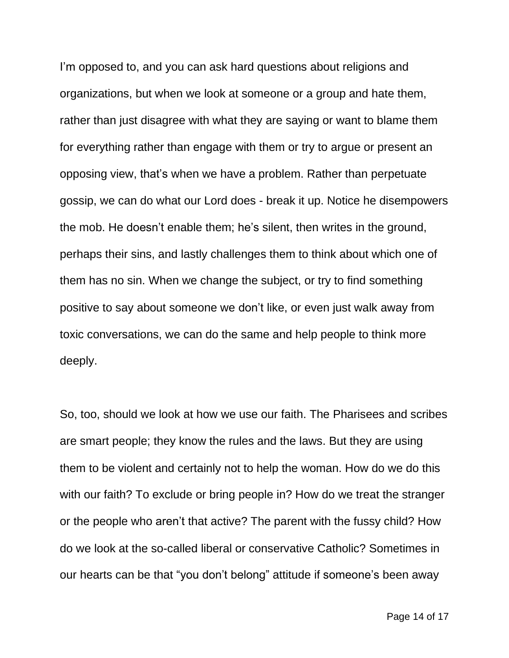I'm opposed to, and you can ask hard questions about religions and organizations, but when we look at someone or a group and hate them, rather than just disagree with what they are saying or want to blame them for everything rather than engage with them or try to argue or present an opposing view, that's when we have a problem. Rather than perpetuate gossip, we can do what our Lord does - break it up. Notice he disempowers the mob. He doesn't enable them; he's silent, then writes in the ground, perhaps their sins, and lastly challenges them to think about which one of them has no sin. When we change the subject, or try to find something positive to say about someone we don't like, or even just walk away from toxic conversations, we can do the same and help people to think more deeply.

So, too, should we look at how we use our faith. The Pharisees and scribes are smart people; they know the rules and the laws. But they are using them to be violent and certainly not to help the woman. How do we do this with our faith? To exclude or bring people in? How do we treat the stranger or the people who aren't that active? The parent with the fussy child? How do we look at the so-called liberal or conservative Catholic? Sometimes in our hearts can be that "you don't belong" attitude if someone's been away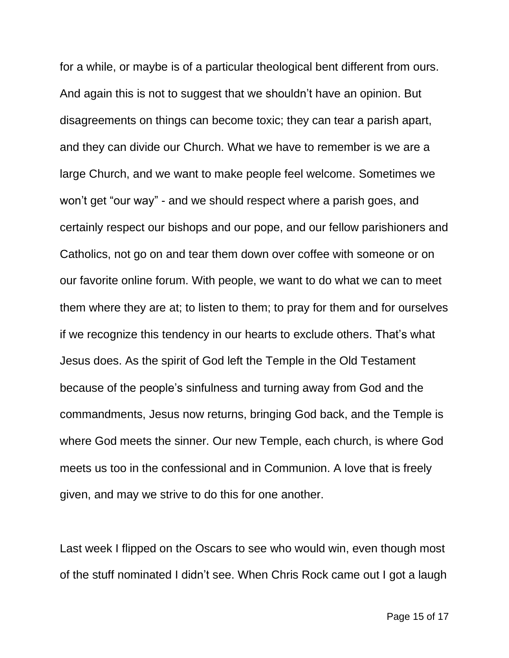for a while, or maybe is of a particular theological bent different from ours. And again this is not to suggest that we shouldn't have an opinion. But disagreements on things can become toxic; they can tear a parish apart, and they can divide our Church. What we have to remember is we are a large Church, and we want to make people feel welcome. Sometimes we won't get "our way" - and we should respect where a parish goes, and certainly respect our bishops and our pope, and our fellow parishioners and Catholics, not go on and tear them down over coffee with someone or on our favorite online forum. With people, we want to do what we can to meet them where they are at; to listen to them; to pray for them and for ourselves if we recognize this tendency in our hearts to exclude others. That's what Jesus does. As the spirit of God left the Temple in the Old Testament because of the people's sinfulness and turning away from God and the commandments, Jesus now returns, bringing God back, and the Temple is where God meets the sinner. Our new Temple, each church, is where God meets us too in the confessional and in Communion. A love that is freely given, and may we strive to do this for one another.

Last week I flipped on the Oscars to see who would win, even though most of the stuff nominated I didn't see. When Chris Rock came out I got a laugh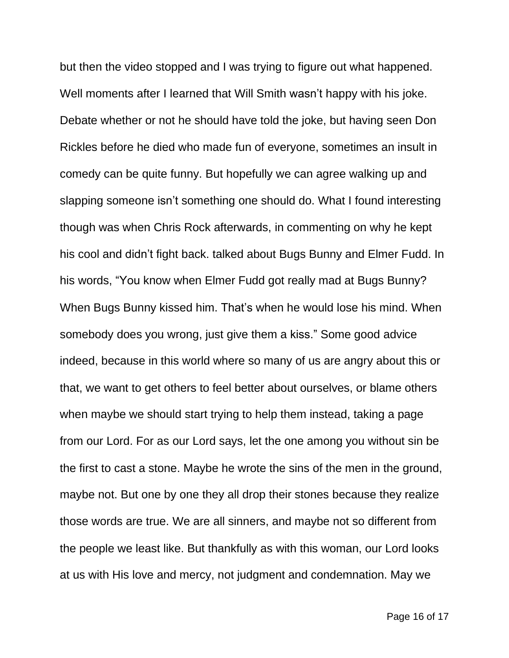but then the video stopped and I was trying to figure out what happened. Well moments after I learned that Will Smith wasn't happy with his joke. Debate whether or not he should have told the joke, but having seen Don Rickles before he died who made fun of everyone, sometimes an insult in comedy can be quite funny. But hopefully we can agree walking up and slapping someone isn't something one should do. What I found interesting though was when Chris Rock afterwards, in commenting on why he kept his cool and didn't fight back. talked about Bugs Bunny and Elmer Fudd. In his words, "You know when Elmer Fudd got really mad at Bugs Bunny? When Bugs Bunny kissed him. That's when he would lose his mind. When somebody does you wrong, just give them a kiss." Some good advice indeed, because in this world where so many of us are angry about this or that, we want to get others to feel better about ourselves, or blame others when maybe we should start trying to help them instead, taking a page from our Lord. For as our Lord says, let the one among you without sin be the first to cast a stone. Maybe he wrote the sins of the men in the ground, maybe not. But one by one they all drop their stones because they realize those words are true. We are all sinners, and maybe not so different from the people we least like. But thankfully as with this woman, our Lord looks at us with His love and mercy, not judgment and condemnation. May we